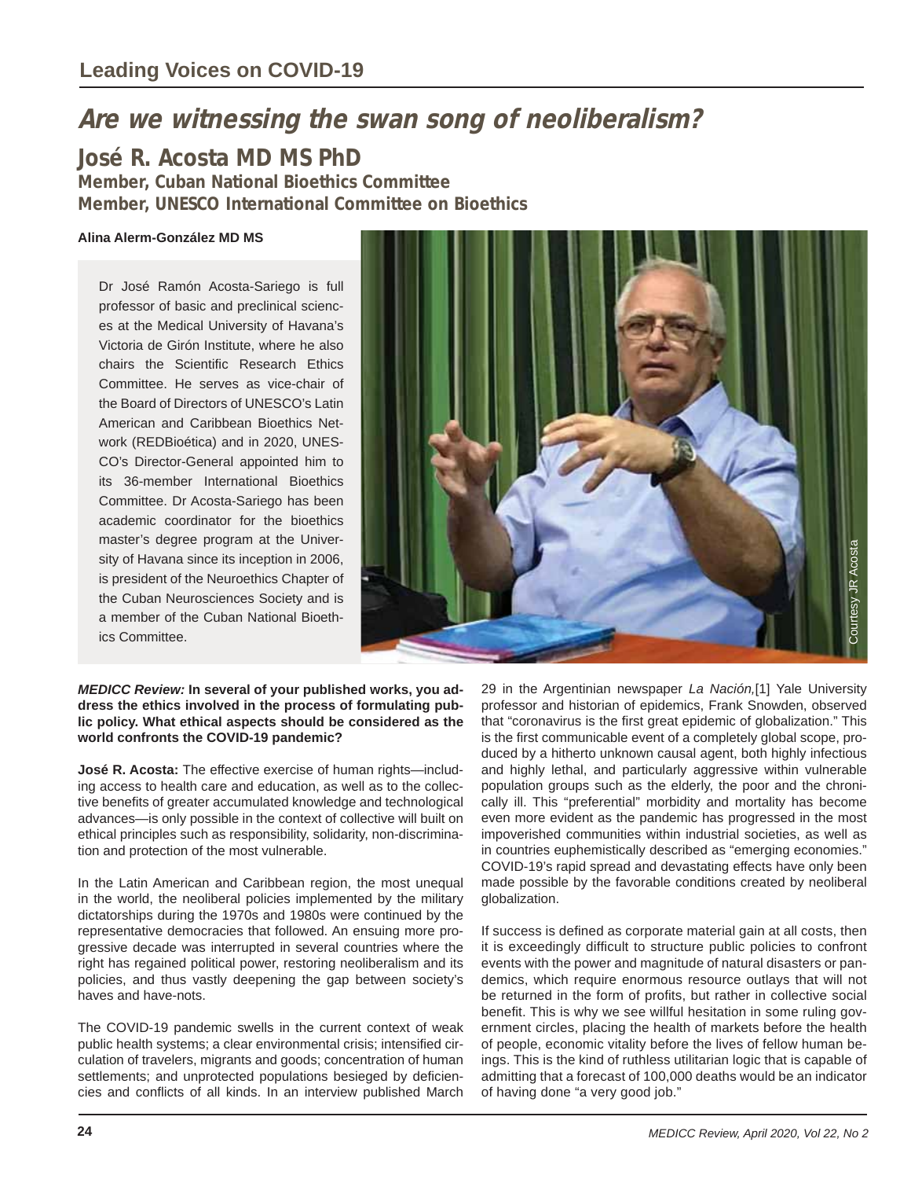# **Are we witnessing the swan song of neoliberalism?**

# **José R. Acosta MD MS PhD**

**Member, Cuban National Bioethics Committee Member, UNESCO International Committee on Bioethics**

# **Alina Alerm-González MD MS**

Dr José Ramón Acosta-Sariego is full professor of basic and preclinical sciences at the Medical University of Havana's Victoria de Girón Institute, where he also chairs the Scientific Research Ethics Committee. He serves as vice-chair of the Board of Directors of UNESCO's Latin American and Caribbean Bioethics Network (REDBioética) and in 2020, UNES-CO's Director-General appointed him to its 36-member International Bioethics Committee. Dr Acosta-Sariego has been academic coordinator for the bioethics master's degree program at the University of Havana since its inception in 2006, is president of the Neuroethics Chapter of the Cuban Neurosciences Society and is a member of the Cuban National Bioethics Committee.



#### *MEDICC Review:* **In several of your published works, you address the ethics involved in the process of formulating public policy. What ethical aspects should be considered as the world confronts the COVID-19 pandemic?**

**José R. Acosta:** The effective exercise of human rights—including access to health care and education, as well as to the collective benefits of greater accumulated knowledge and technological advances—is only possible in the context of collective will built on ethical principles such as responsibility, solidarity, non-discrimination and protection of the most vulnerable.

In the Latin American and Caribbean region, the most unequal in the world, the neoliberal policies implemented by the military dictatorships during the 1970s and 1980s were continued by the representative democracies that followed. An ensuing more progressive decade was interrupted in several countries where the right has regained political power, restoring neoliberalism and its policies, and thus vastly deepening the gap between society's haves and have-nots.

The COVID-19 pandemic swells in the current context of weak public health systems; a clear environmental crisis; intensified circulation of travelers, migrants and goods; concentration of human settlements; and unprotected populations besieged by deficiencies and conflicts of all kinds. In an interview published March

29 in the Argentinian newspaper *La Nación,*[1] Yale University professor and historian of epidemics, Frank Snowden, observed that "coronavirus is the first great epidemic of globalization." This is the first communicable event of a completely global scope, produced by a hitherto unknown causal agent, both highly infectious and highly lethal, and particularly aggressive within vulnerable population groups such as the elderly, the poor and the chronically ill. This "preferential" morbidity and mortality has become even more evident as the pandemic has progressed in the most impoverished communities within industrial societies, as well as in countries euphemistically described as "emerging economies." COVID-19's rapid spread and devastating effects have only been made possible by the favorable conditions created by neoliberal globalization.

If success is defined as corporate material gain at all costs, then it is exceedingly difficult to structure public policies to confront events with the power and magnitude of natural disasters or pandemics, which require enormous resource outlays that will not be returned in the form of profits, but rather in collective social benefit. This is why we see willful hesitation in some ruling government circles, placing the health of markets before the health of people, economic vitality before the lives of fellow human beings. This is the kind of ruthless utilitarian logic that is capable of admitting that a forecast of 100,000 deaths would be an indicator of having done "a very good job."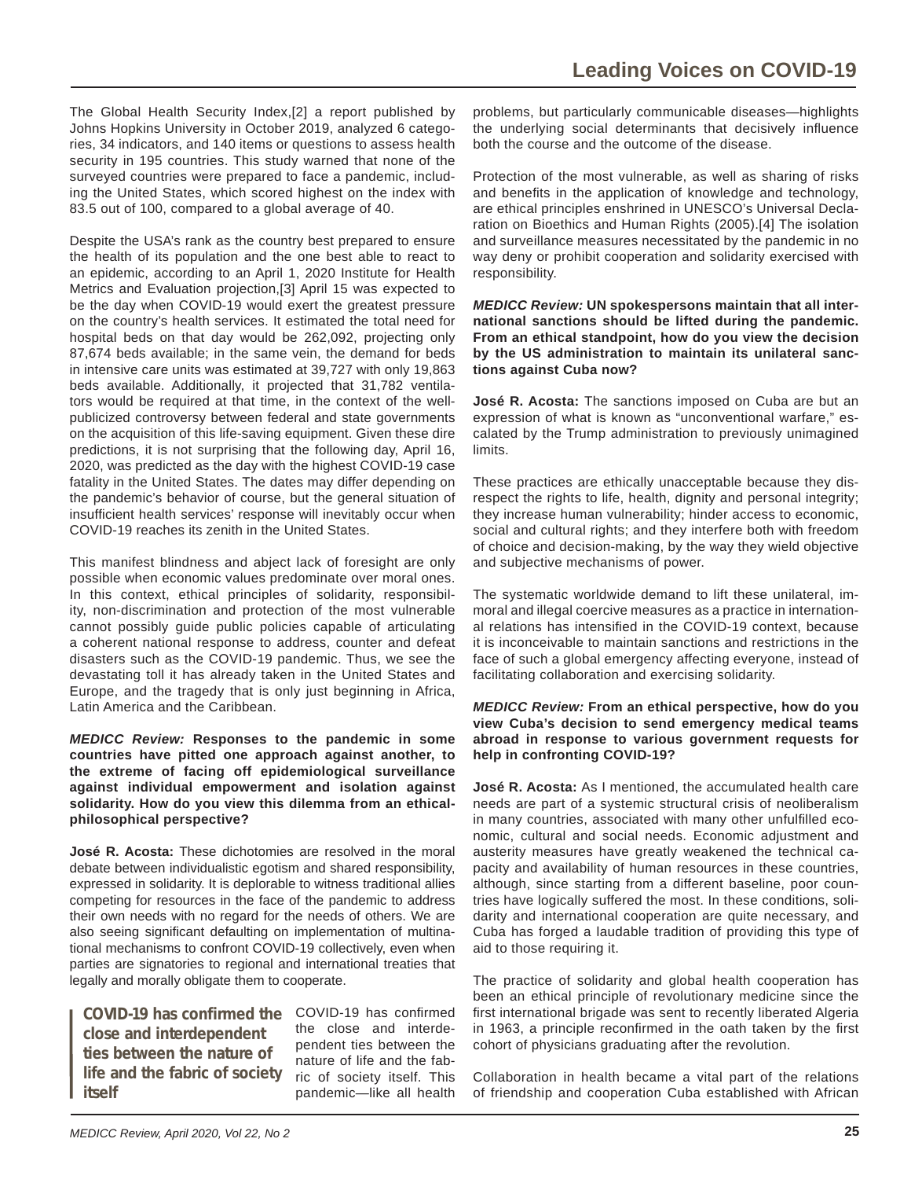The Global Health Security Index,[2] a report published by Johns Hopkins University in October 2019, analyzed 6 categories, 34 indicators, and 140 items or questions to assess health security in 195 countries. This study warned that none of the surveyed countries were prepared to face a pandemic, including the United States, which scored highest on the index with 83.5 out of 100, compared to a global average of 40.

Despite the USA's rank as the country best prepared to ensure the health of its population and the one best able to react to an epidemic, according to an April 1, 2020 Institute for Health Metrics and Evaluation projection,[3] April 15 was expected to be the day when COVID-19 would exert the greatest pressure on the country's health services. It estimated the total need for hospital beds on that day would be 262,092, projecting only 87,674 beds available; in the same vein, the demand for beds in intensive care units was estimated at 39,727 with only 19,863 beds available. Additionally, it projected that 31,782 ventilators would be required at that time, in the context of the wellpublicized controversy between federal and state governments on the acquisition of this life-saving equipment. Given these dire predictions, it is not surprising that the following day, April 16, 2020, was predicted as the day with the highest COVID-19 case fatality in the United States. The dates may differ depending on the pandemic's behavior of course, but the general situation of insufficient health services' response will inevitably occur when COVID-19 reaches its zenith in the United States.

This manifest blindness and abject lack of foresight are only possible when economic values predominate over moral ones. In this context, ethical principles of solidarity, responsibility, non-discrimination and protection of the most vulnerable cannot possibly guide public policies capable of articulating a coherent national response to address, counter and defeat disasters such as the COVID-19 pandemic. Thus, we see the devastating toll it has already taken in the United States and Europe, and the tragedy that is only just beginning in Africa, Latin America and the Caribbean.

*MEDICC Review:* **Responses to the pandemic in some countries have pitted one approach against another, to the extreme of facing off epidemiological surveillance against individual empowerment and isolation against solidarity. How do you view this dilemma from an ethicalphilosophical perspective?**

**José R. Acosta:** These dichotomies are resolved in the moral debate between individualistic egotism and shared responsibility, expressed in solidarity. It is deplorable to witness traditional allies competing for resources in the face of the pandemic to address their own needs with no regard for the needs of others. We are also seeing significant defaulting on implementation of multinational mechanisms to confront COVID-19 collectively, even when parties are signatories to regional and international treaties that legally and morally obligate them to cooperate.

COVID-19 has confirmed the COVID-19 has confirmed **close and interdependent ties between the nature of life and the fabric of society itself**

the close and interdependent ties between the nature of life and the fabric of society itself. This pandemic—like all health

problems, but particularly communicable diseases—highlights the underlying social determinants that decisively influence both the course and the outcome of the disease.

Protection of the most vulnerable, as well as sharing of risks and benefits in the application of knowledge and technology, are ethical principles enshrined in UNESCO's Universal Declaration on Bioethics and Human Rights (2005).[4] The isolation and surveillance measures necessitated by the pandemic in no way deny or prohibit cooperation and solidarity exercised with responsibility.

*MEDICC Review:* **UN spokespersons maintain that all international sanctions should be lifted during the pandemic. From an ethical standpoint, how do you view the decision by the US administration to maintain its unilateral sanctions against Cuba now?**

**José R. Acosta:** The sanctions imposed on Cuba are but an expression of what is known as "unconventional warfare," escalated by the Trump administration to previously unimagined limits.

These practices are ethically unacceptable because they disrespect the rights to life, health, dignity and personal integrity; they increase human vulnerability; hinder access to economic, social and cultural rights; and they interfere both with freedom of choice and decision-making, by the way they wield objective and subjective mechanisms of power.

The systematic worldwide demand to lift these unilateral, immoral and illegal coercive measures as a practice in international relations has intensified in the COVID-19 context, because it is inconceivable to maintain sanctions and restrictions in the face of such a global emergency affecting everyone, instead of facilitating collaboration and exercising solidarity.

#### *MEDICC Review:* **From an ethical perspective, how do you view Cuba's decision to send emergency medical teams abroad in response to various government requests for help in confronting COVID-19?**

**José R. Acosta:** As I mentioned, the accumulated health care needs are part of a systemic structural crisis of neoliberalism in many countries, associated with many other unfulfilled economic, cultural and social needs. Economic adjustment and austerity measures have greatly weakened the technical capacity and availability of human resources in these countries, although, since starting from a different baseline, poor countries have logically suffered the most. In these conditions, solidarity and international cooperation are quite necessary, and Cuba has forged a laudable tradition of providing this type of aid to those requiring it.

The practice of solidarity and global health cooperation has been an ethical principle of revolutionary medicine since the first international brigade was sent to recently liberated Algeria in 1963, a principle reconfirmed in the oath taken by the first cohort of physicians graduating after the revolution.

Collaboration in health became a vital part of the relations of friendship and cooperation Cuba established with African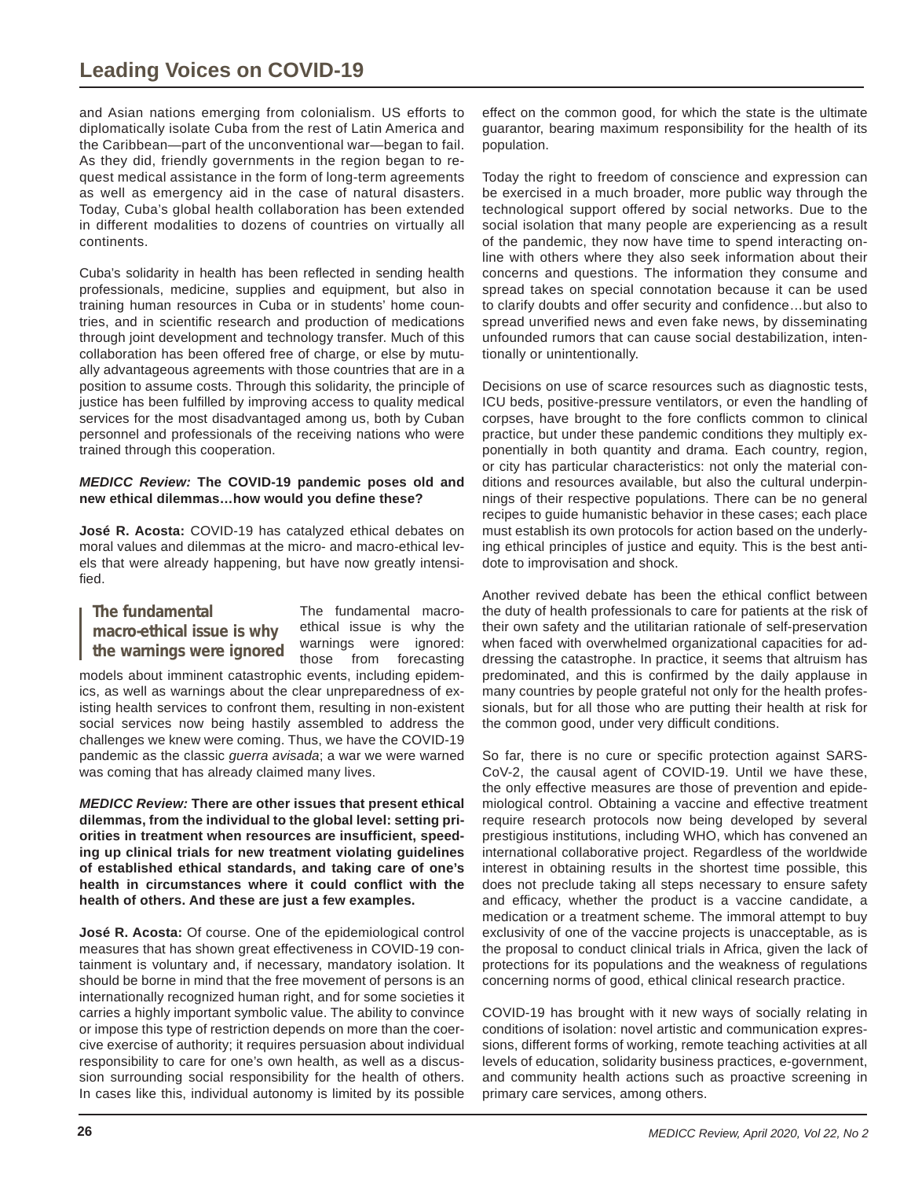and Asian nations emerging from colonialism. US efforts to diplomatically isolate Cuba from the rest of Latin America and the Caribbean—part of the unconventional war—began to fail. As they did, friendly governments in the region began to request medical assistance in the form of long-term agreements as well as emergency aid in the case of natural disasters. Today, Cuba's global health collaboration has been extended in different modalities to dozens of countries on virtually all continents.

Cuba's solidarity in health has been reflected in sending health professionals, medicine, supplies and equipment, but also in training human resources in Cuba or in students' home countries, and in scientific research and production of medications through joint development and technology transfer. Much of this collaboration has been offered free of charge, or else by mutually advantageous agreements with those countries that are in a position to assume costs. Through this solidarity, the principle of justice has been fulfilled by improving access to quality medical services for the most disadvantaged among us, both by Cuban personnel and professionals of the receiving nations who were trained through this cooperation.

### *MEDICC Review:* **The COVID-19 pandemic poses old and**  new ethical dilemmas...how would you define these?

**José R. Acosta:** COVID-19 has catalyzed ethical debates on moral values and dilemmas at the micro- and macro-ethical levels that were already happening, but have now greatly intensifi ed.

**The fundamental macro-ethical issue is why the warnings were ignored** The fundamental macroethical issue is why the warnings were ignored: those from forecasting

models about imminent catastrophic events, including epidemics, as well as warnings about the clear unpreparedness of existing health services to confront them, resulting in non-existent social services now being hastily assembled to address the challenges we knew were coming. Thus, we have the COVID-19 pandemic as the classic *guerra avisada*; a war we were warned was coming that has already claimed many lives.

*MEDICC Review:* **There are other issues that present ethical dilemmas, from the individual to the global level: setting pri**orities in treatment when resources are insufficient, speed**ing up clinical trials for new treatment violating guidelines of established ethical standards, and taking care of one's**  health in circumstances where it could conflict with the **health of others. And these are just a few examples.**

**José R. Acosta:** Of course. One of the epidemiological control measures that has shown great effectiveness in COVID-19 containment is voluntary and, if necessary, mandatory isolation. It should be borne in mind that the free movement of persons is an internationally recognized human right, and for some societies it carries a highly important symbolic value. The ability to convince or impose this type of restriction depends on more than the coercive exercise of authority; it requires persuasion about individual responsibility to care for one's own health, as well as a discussion surrounding social responsibility for the health of others. In cases like this, individual autonomy is limited by its possible

effect on the common good, for which the state is the ultimate guarantor, bearing maximum responsibility for the health of its population.

Today the right to freedom of conscience and expression can be exercised in a much broader, more public way through the technological support offered by social networks. Due to the social isolation that many people are experiencing as a result of the pandemic, they now have time to spend interacting online with others where they also seek information about their concerns and questions. The information they consume and spread takes on special connotation because it can be used to clarify doubts and offer security and confidence...but also to spread unverified news and even fake news, by disseminating unfounded rumors that can cause social destabilization, intentionally or unintentionally.

Decisions on use of scarce resources such as diagnostic tests, ICU beds, positive-pressure ventilators, or even the handling of corpses, have brought to the fore conflicts common to clinical practice, but under these pandemic conditions they multiply exponentially in both quantity and drama. Each country, region, or city has particular characteristics: not only the material conditions and resources available, but also the cultural underpinnings of their respective populations. There can be no general recipes to guide humanistic behavior in these cases; each place must establish its own protocols for action based on the underlying ethical principles of justice and equity. This is the best antidote to improvisation and shock.

Another revived debate has been the ethical conflict between the duty of health professionals to care for patients at the risk of their own safety and the utilitarian rationale of self-preservation when faced with overwhelmed organizational capacities for addressing the catastrophe. In practice, it seems that altruism has predominated, and this is confirmed by the daily applause in many countries by people grateful not only for the health professionals, but for all those who are putting their health at risk for the common good, under very difficult conditions.

So far, there is no cure or specific protection against SARS-CoV-2, the causal agent of COVID-19. Until we have these, the only effective measures are those of prevention and epidemiological control. Obtaining a vaccine and effective treatment require research protocols now being developed by several prestigious institutions, including WHO, which has convened an international collaborative project. Regardless of the worldwide interest in obtaining results in the shortest time possible, this does not preclude taking all steps necessary to ensure safety and efficacy, whether the product is a vaccine candidate, a medication or a treatment scheme. The immoral attempt to buy exclusivity of one of the vaccine projects is unacceptable, as is the proposal to conduct clinical trials in Africa, given the lack of protections for its populations and the weakness of regulations concerning norms of good, ethical clinical research practice.

COVID-19 has brought with it new ways of socially relating in conditions of isolation: novel artistic and communication expressions, different forms of working, remote teaching activities at all levels of education, solidarity business practices, e-government, and community health actions such as proactive screening in primary care services, among others.